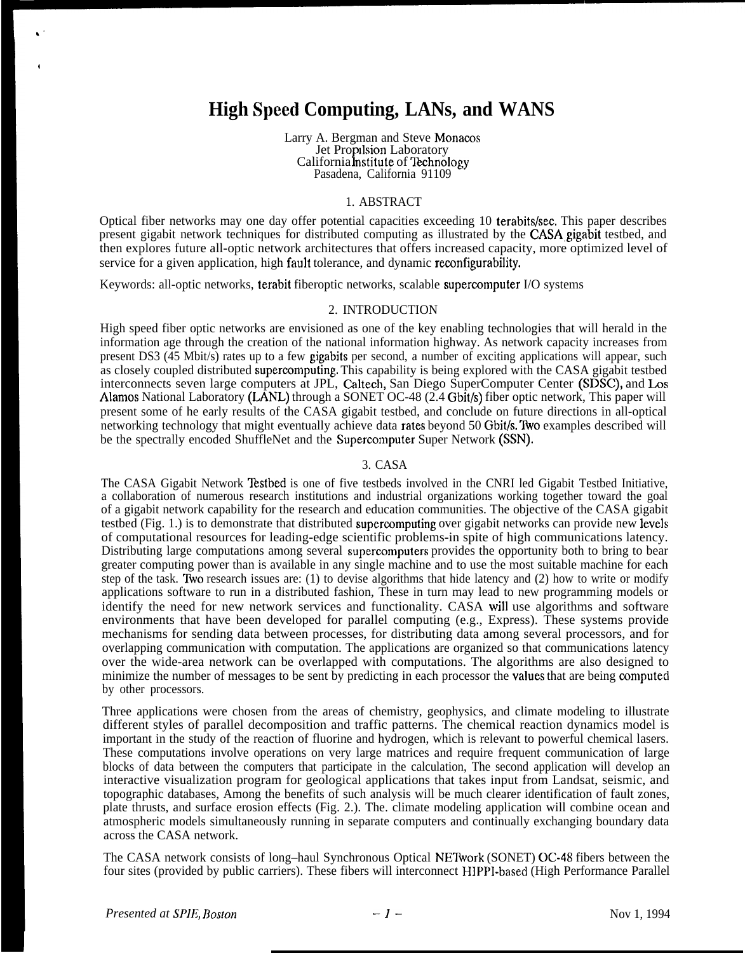# **High Spcecl Computing, LANs, and WANS**

Larry A. Bergman and Steve Monacos Jet Propilsion Laboratory California **Institute** of Technology Pasadena, California 91109

### 1. ABSTRACT

Optical fiber networks may one day offer potential capacities exceeding 10 terabits/sec. This paper describes present gigabit network techniques for distributed computing as illustrated by the CASA gigabit testbed, and then explores future all-optic network architectures that offers increased capacity, more optimized level of service for a given application, high fault tolerance, and dynamic reconfigurability.

Keywords: all-optic networks, terabit fiberoptic networks, scalable supercomputer I/O systems

#### 2. INTRODUCTION

High speed fiber optic networks are envisioned as one of the key enabling technologies that will herald in the information age through the creation of the national information highway. As network capacity increases from present DS3 (45 Mbit/s) rates up to a few gigabits per second, a number of exciting applications will appear, such as closely coupled distributed supercomputing. This capability is being explored with the CASA gigabit testbed interconnects seven large computers at JPL, Caltech, San Diego SuperComputer Center (SDSC), and Los Alamos National Laboratory (LANL) through a SONET OC-48 (2.4 Gbit/s) fiber optic network, This paper will present some of he early results of the CASA gigabit testbed, and conclude on future directions in all-optical networking technology that might eventually achieve data rates beyond 50 Gbit/s. Two examples described will be the spectrally encoded ShuffleNet and the Supercomputer Super Network (SSN).

### 3. CASA

The CASA Gigabit Network Testbed is one of five testbeds involved in the CNRI led Gigabit Testbed Initiative, a collaboration of numerous research institutions and industrial organizations working together toward the goal of a gigabit network capability for the research and education communities. The objective of the CASA gigabit testbed (Fig. 1.) is to demonstrate that distributed supercomputing over gigabit networks can provide new levels of computational resources for leading-edge scientific problems-in spite of high communications latency. Distributing large computations among several supercomputers provides the opportunity both to bring to bear greater computing power than is available in any single machine and to use the most suitable machine for each step of the task. TWO research issues are: (1) to devise algorithms that hide latency and (2) how to write or modify applications software to run in a distributed fashion, These in turn may lead to new programming models or identify the need for new network services and functionality. CASA will use algorithms and software environments that have been developed for parallel computing (e.g., Express). These systems provide mechanisms for sending data between processes, for distributing data among several processors, and for overlapping communication with computation. The applications are organized so that communications latency over the wide-area network can be overlapped with computations. The algorithms are also designed to minimize the number of messages to be sent by predicting in each processor the values that are being computed by other processors.

Three applications were chosen from the areas of chemistry, geophysics, and climate modeling to illustrate different styles of parallel decomposition and traffic patterns. The chemical reaction dynamics model is important in the study of the reaction of fluorine and hydrogen, which is relevant to powerful chemical lasers. These computations involve operations on very large matrices and require frequent communication of large blocks of data between the computers that participate in the calculation, The second application will develop an interactive visualization program for geological applications that takes input from Landsat, seismic, and topographic databases, Among the benefits of such analysis will be much clearer identification of fault zones, plate thrusts, and surface erosion effects (Fig. 2.). The. climate modeling application will combine ocean and atmospheric models simultaneously running in separate computers and continually exchanging boundary data across the CASA network.

The CASA network consists of long–haul Synchronous Optical NETivork (SONET) OC-48 fibers between the four sites (provided by public carriers). These fibers will interconnect HIPP1-based (High Performance Parallel

**k"**

4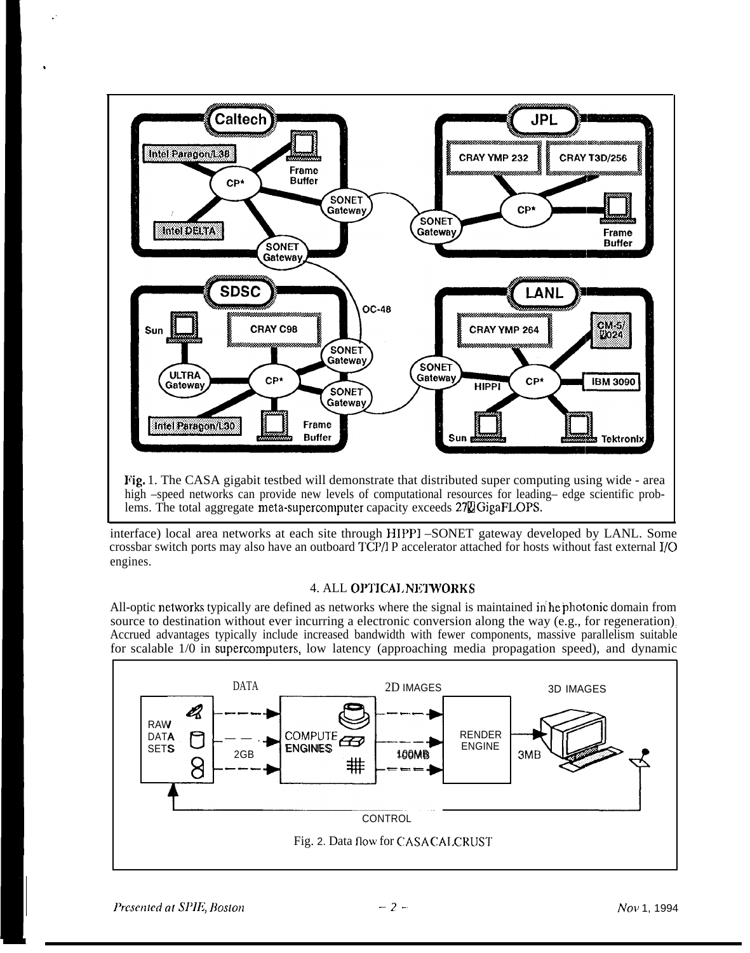

interface) local area networks at each site through HH'PI –SONET gateway developed by LANL. Some crossbar switch ports may also have an outboard TCP/l P accelerator attached for hosts without fast external 1/0 engines.

### 4. ALL OPTICAL NETWORKS

All-optic networks typically are defined as networks where the signal is maintained in he photonic domain from source to destination without ever incurring a electronic conversion along the way (e.g., for regeneration). Accrued advantages typically include increased bandwidth with fewer components, massive parallelism suitable for scalable 1/0 in supercomputers, low latency (approaching media propagation speed), and dynamic



.,

,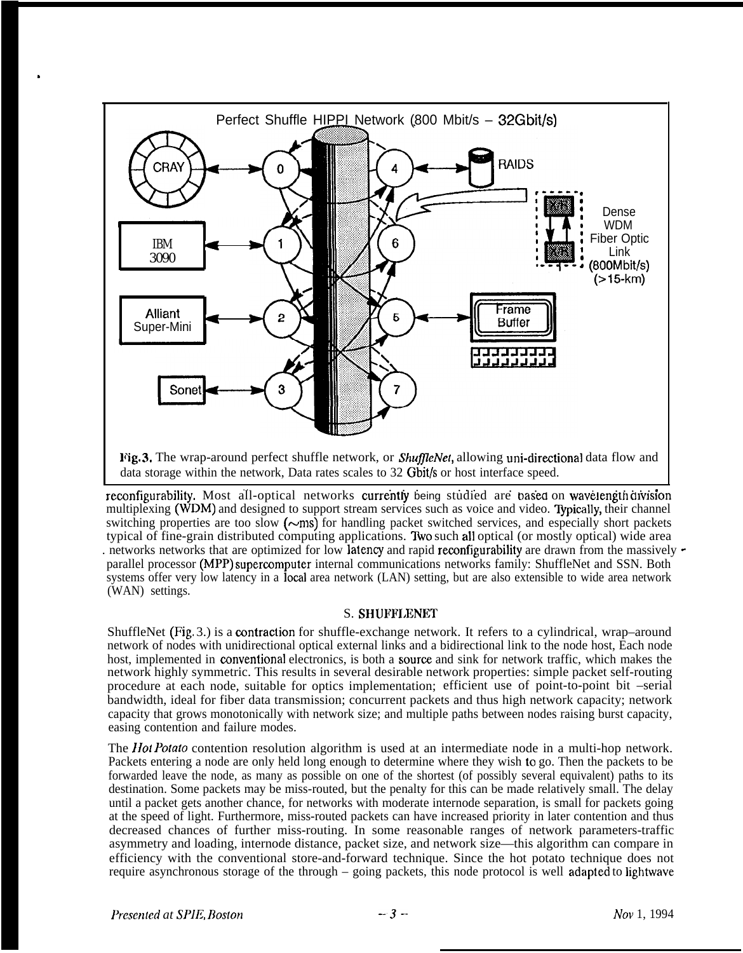

reconfigurability. Most all-optical networks currently being studied are based on wavelength division multiplexing (WDM) and designed to support stream services such as voice and video. Typically, their channel switching properties are too slow  $(\sim$ ms) for handling packet switched services, and especially short packets typical of fine-grain distributed computing applications. Two such all optical (or mostly optical) wide area . networks networks that are optimized for low latency and rapid reconfigurability are drawn from the massively  $\sim$ parallel processor (MPP) supercomputer internal communications networks family: ShuffleNet and SSN. Both systems offer very low latency in a local area network (LAN) setting, but are also extensible to wide area network (WAN) settings.

### S. SHUFFLENET

ShuffleNet (Fig. 3.) is a contraction for shuffle-exchange network. It refers to a cylindrical, wrap–around network of nodes with unidirectional optical external links and a bidirectional link to the node host, Each node host, implemented in conventional electronics, is both a source and sink for network traffic, which makes the network highly symmetric. This results in several desirable network properties: simple packet self-routing procedure at each node, suitable for optics implementation; efficient use of point-to-point bit -serial bandwidth, ideal for fiber data transmission; concurrent packets and thus high network capacity; network capacity that grows monotonically with network size; and multiple paths between nodes raising burst capacity, easing contention and failure modes.

The *Hot Potato* contention resolution algorithm is used at an intermediate node in a multi-hop network. Packets entering a node are only held long enough to determine where they wish to go. Then the packets to be forwarded leave the node, as many as possible on one of the shortest (of possibly several equivalent) paths to its destination. Some packets may be miss-routed, but the penalty for this can be made relatively small. The delay until a packet gets another chance, for networks with moderate internode separation, is small for packets going at the speed of light. Furthermore, miss-routed packets can have increased priority in later contention and thus decreased chances of further miss-routing. In some reasonable ranges of network parameters-traffic asymmetry and loading, internode distance, packet size, and network size—this algorithm can compare in efficiency with the conventional store-and-forward technique. Since the hot potato technique does not require asynchronous storage of the through – going packets, this node protocol is well adapted to lightwave

.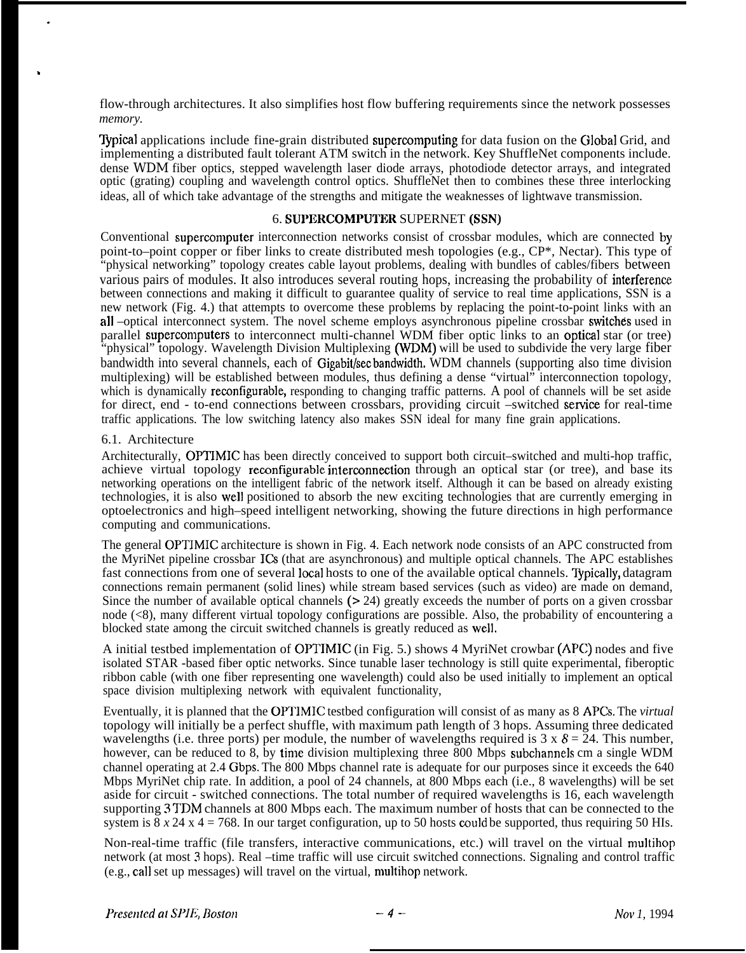flow-through architectures. It also simplifies host flow buffering requirements since the network possesses *memory.*

Typical applications include fine-grain distributed supercomputing for data fusion on the Global Grid, and implementing a distributed fault tolerant ATM switch in the network. Key ShuffleNet components include. dense WDM fiber optics, stepped wavelength laser diode arrays, photodiode detector arrays, and integrated optic (grating) coupling and wavelength control optics. ShuffleNet then to combines these three interlocking ideas, all of which take advantage of the strengths and mitigate the weaknesses of lightwave transmission.

### 6. SUPERCOMPUTER SUPERNET (SSN)

Conventional supercomputer interconnection networks consist of crossbar modules, which are connected by point-to–point copper or fiber links to create distributed mesh topologies (e.g., CP\*, Nectar). This type of "physical networking" topology creates cable layout problems, dealing with bundles of cables/fibers between various pairs of modules. It also introduces several routing hops, increasing the probability of interference between connections and making it difficult to guarantee quality of service to real time applications, SSN is a new network (Fig. 4.) that attempts to overcome these problems by replacing the point-to-point links with an all –optical interconnect system. The novel scheme employs asynchronous pipeline crossbar switches used in parallel supercomputers to interconnect multi-channel WDM fiber optic links to an optical star (or tree) "physical" topology. Wavelength Division Multiplexing (WDM) will be used to subdivide the very large fiber bandwidth into several channels, each of Gigabit/secbandwidth. WDM channels (supporting also time division multiplexing) will be established between modules, thus defining a dense "virtual" interconnection topology, which is dynamically **reconfigurable**, responding to changing traffic patterns. A pool of channels will be set aside for direct, end - to-end connections between crossbars, providing circuit –switched service for real-time traffic applications. The low switching latency also makes SSN ideal for many fine grain applications.

### 6.1. Architecture

.

,

Architecturally, OPTIMIC has been directly conceived to support both circuit–switched and multi-hop traffic, achieve virtual topology reconfigurable intemmnection through an optical star (or tree), and base its networking operations on the intelligent fabric of the network itself. Although it can be based on already existing technologies, it is also well positioned to absorb the new exciting technologies that are currently emerging in optoelectronics and high–speed intelligent networking, showing the future directions in high performance computing and communications.

The general OPTIMIC architecture is shown in Fig. 4. Each network node consists of an APC constructed from the MyriNet pipeline crossbar ICS (that are asynchronous) and multiple optical channels. The APC establishes fast connections from one of several local hosts to one of the available optical channels. Typically, datagram connections remain permanent (solid lines) while stream based services (such as video) are made on demand, Since the number of available optical channels ( $> 24$ ) greatly exceeds the number of ports on a given crossbar node (<8), many different virtual topology configurations are possible. Also, the probability of encountering a blocked state among the circuit switched channels is greatly reduced as well.

A initial testbed implementation of OPTIMIC (in Fig. 5.) shows 4 MyriNet crowbar (APC) nodes and five isolated STAR -based fiber optic networks. Since tunable laser technology is still quite experimental, fiberoptic ribbon cable (with one fiber representing one wavelength) could also be used initially to implement an optical space division multiplexing network with equivalent functionality,

Eventually, it is planned that the OPTIMIC testbed configuration will consist of as many as 8 APGs. The *virtual* topology will initially be a perfect shuffle, with maximum path length of 3 hops. Assuming three dedicated wavelengths (i.e. three ports) per module, the number of wavelengths required is  $3 \times 8 = 24$ . This number, however, can be reduced to 8, by time division multiplexing three 800 Mbps subchannels cm a single WDM channel operating at 2.4 Gbps. The 800 Mbps channel rate is adequate for our purposes since it exceeds the 640 Mbps MyriNet chip rate. In addition, a pool of 24 channels, at 800 Mbps each (i.e., 8 wavelengths) will be set aside for circuit - switched connections. The total number of required wavelengths is 16, each wavelength supporting 3 TDM channels at 800 Mbps each. The maximum number of hosts that can be connected to the system is  $8 \times 24 \times 4 = 768$ . In our target configuration, up to 50 hosts could be supported, thus requiring 50 HIs.

Non-real-time traffic (file transfers, interactive communications, etc.) will travel on the virtual multihop network (at most 3 hops). Real –time traffic will use circuit switched connections. Signaling and control traffic (e.g., call set up messages) will travel on the virtual, multihop network.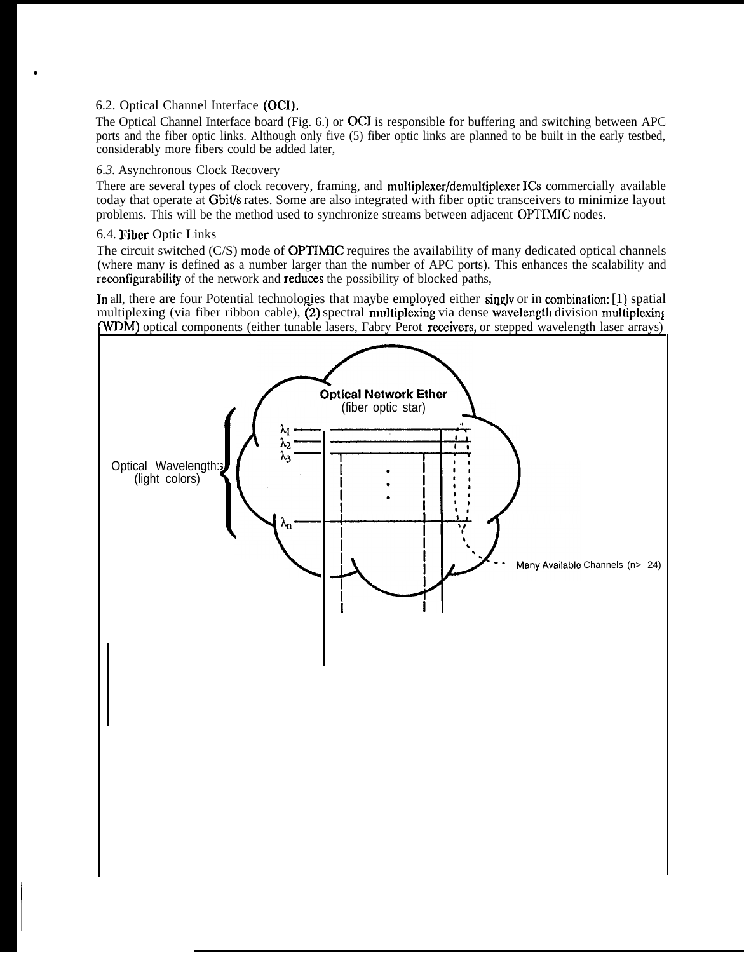# 6.2. Optical Channel Interface (OCI).

The Optical Channel Interface board (Fig. 6.) or OCI is responsible for buffering and switching between APC ports and the fiber optic links. Although only five (5) fiber optic links are planned to be built in the early testbed, considerably more fibers could be added later,

# *6.3.* Asynchronous Clock Recovery

There are several types of clock recovery, framing, and multiplexer/demultiplexer ICs commercially available today that operate at Gbit/s rates. Some are also integrated with fiber optic transceivers to minimize layout problems. This will be the method used to synchronize streams between adjacent OPTIMIC nodes.

# 6.4. Fiber Optic Links

,

I

The circuit switched (C/S) mode of OPTIMIC requires the availability of many dedicated optical channels (where many is defined as a number larger than the number of APC ports). This enhances the scalability and reconfigurability of the network and reduces the possibility of blocked paths,

In all, there are four Potential technologies that maybe employed either singly or in combination: [1) spatial multiplexing (via fiber ribbon cable),  $(2)$  spectral multiplexing via dense wavelength division multiplexing VDM) optical components (either tunable lasers, Fabry Perot reeeivers, or stepped wavelength laser arrays)

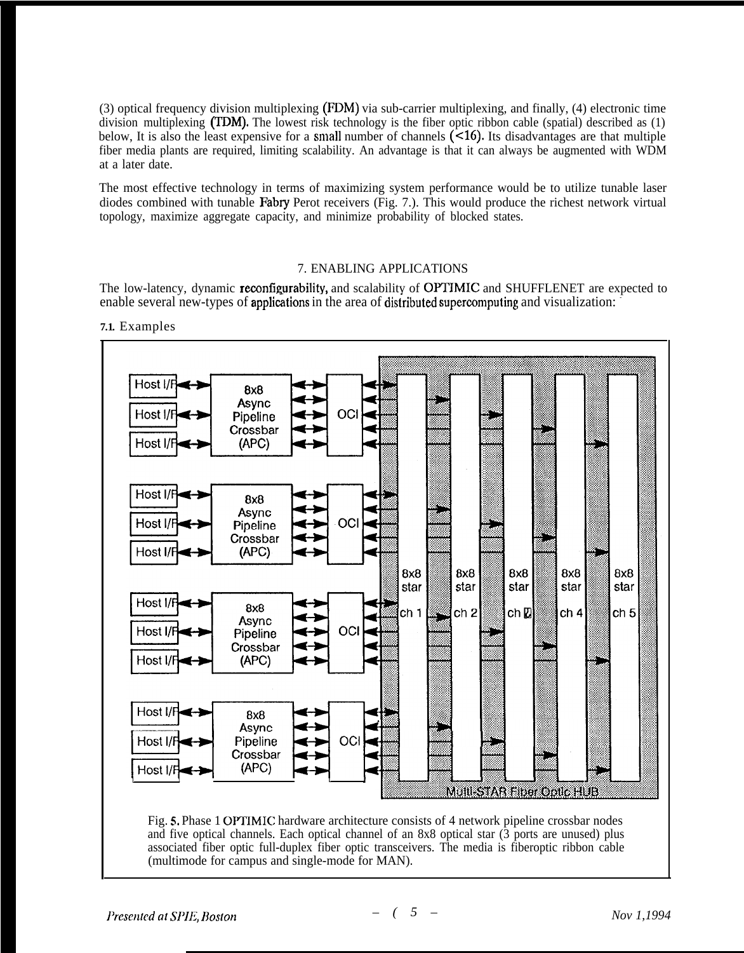(3) optical frequency division multiplexing (FDM) via sub-carrier multiplexing, and finally, (4) electronic time division multiplexing (TDM). The lowest risk technology is the fiber optic ribbon cable (spatial) described as (1) below, It is also the least expensive for a small number of channels (<16). Its disadvantages are that multiple fiber media plants are required, limiting scalability. An advantage is that it can always be augmented with WDM at a later date.

The most effective technology in terms of maximizing system performance would be to utilize tunable laser diodes combined with tunable Fabry Perot receivers (Fig. 7.). This would produce the richest network virtual topology, maximize aggregate capacity, and minimize probability of blocked states.

## 7. ENABLING APPLICATIONS

The low-latency, dynamic reconfigurability, and scalability of OPTIMIC and SHUFFLENET are expected to enable several new-types of applications in the area of distributed supercomputing and visualization:



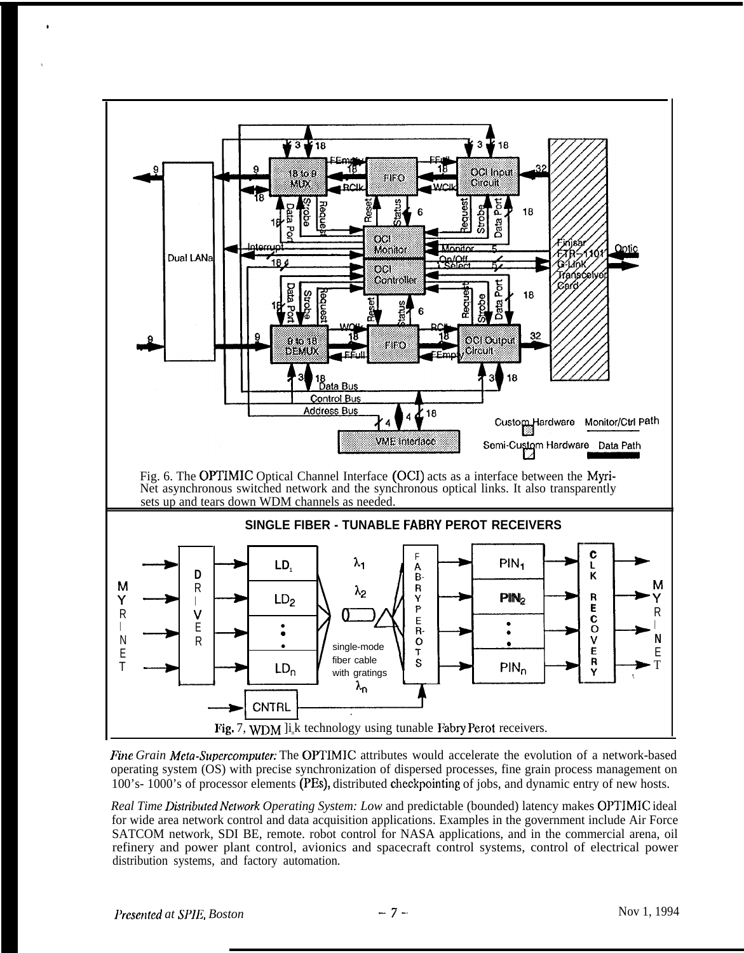

*Fine Grain Meta-Supercomputer:* The OPTIMIC attributes would accelerate the evolution of a network-based operating system (OS) with precise synchronization of dispersed processes, fine grain process management on 100's- 1000's of processor elements (PI%), distributed checkpointing of jobs, and dynamic entry of new hosts.

*Real Time Distributed Network Operating System: Low and predictable (bounded) latency makes OPTIMIC ideal* for wide area network control and data acquisition applications. Examples in the government include Air Force SATCOM network, SDI BE, remote. robot control for NASA applications, and in the commercial arena, oil refinery and power plant control, avionics and spacecraft control systems, control of electrical power distribution systems, and factory automation.

●

✎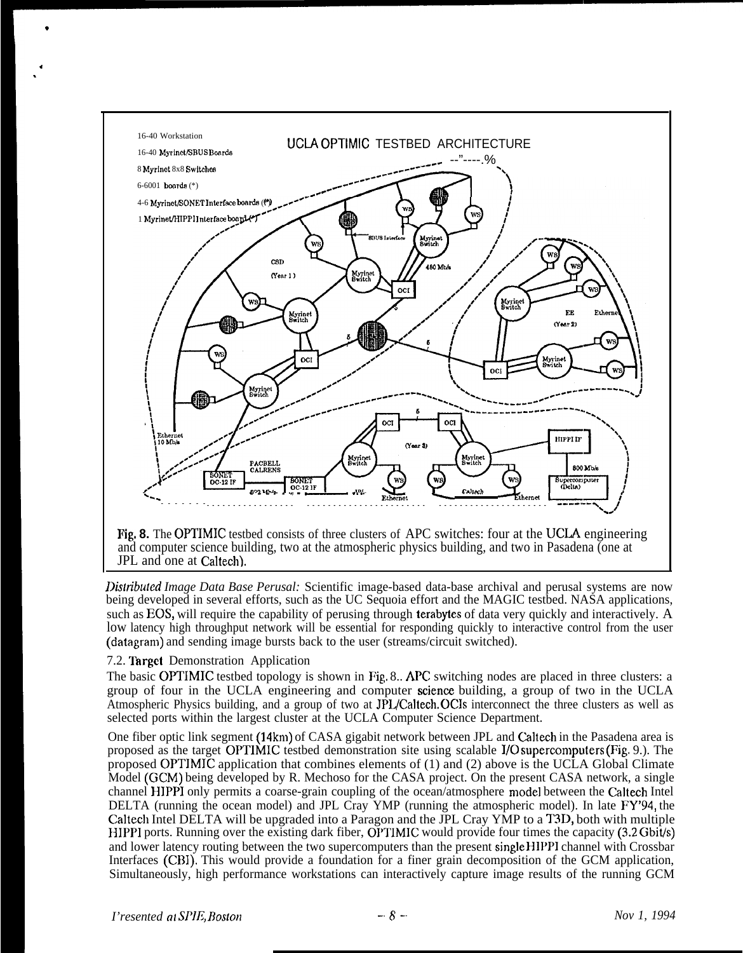

*Distributed Image Data Base Perusal: Scientific image-based data-base archival and perusal systems are now* being developed in several efforts, such as the UC Sequoia effort and the MAGIC testbed. NASA applications, such as EOS, will require the capability of perusing through **terabytes** of data very quickly and interactively. A low latency high throughput network will be essential for responding quickly to interactive control from the user (datagram) and sending image bursts back to the user (streams/circuit switched).

## 7.2. Target Demonstration Application

\*

4 .

> The basic OPTIMIC testbed topology is shown in Pig. 8.. APC switching nodes are placed in three clusters: a group of four in the UCLA engineering and computer science building, a group of two in the UCLA Atmospheric Physics building, and a group of two at JPL/Caltech. OCIs interconnect the three clusters as well as selected ports within the largest cluster at the UCLA Computer Science Department.

> One fiber optic link segment (14km) of CASA gigabit network between JPL and Caltech in the Pasadena area is proposed as the target OPTIMIC testbed demonstration site using scalable 1/0 supercomputers (Fig. 9.). The proposed OPTIMIC application that combines elements of (1) and (2) above is the UCLA Global Climate Model (GCM) being developed by R. Mechoso for the CASA project. On the present CASA network, a single channel HIPPI only permits a coarse-grain coupling of the ocean/atmosphere mode] between the Caltech Intel DELTA (running the ocean model) and JPL Cray YMP (running the atmospheric model). In late FY'94, the Caltech Intel DELTA will be upgraded into a Paragon and the JPL Cray YMP to a T3D, both with multiple HIPPI ports. Running over the existing dark fiber, OPTIMIC would provide four times the capacity  $(3.2 Gbi\dot{t}/s)$ and lower latency routing between the two supercomputers than the present single HIPP1 channel with Crossbar Interfaces (CB1). This would provide a foundation for a finer grain decomposition of the GCM application, Simultaneously, high performance workstations can interactively capture image results of the running GCM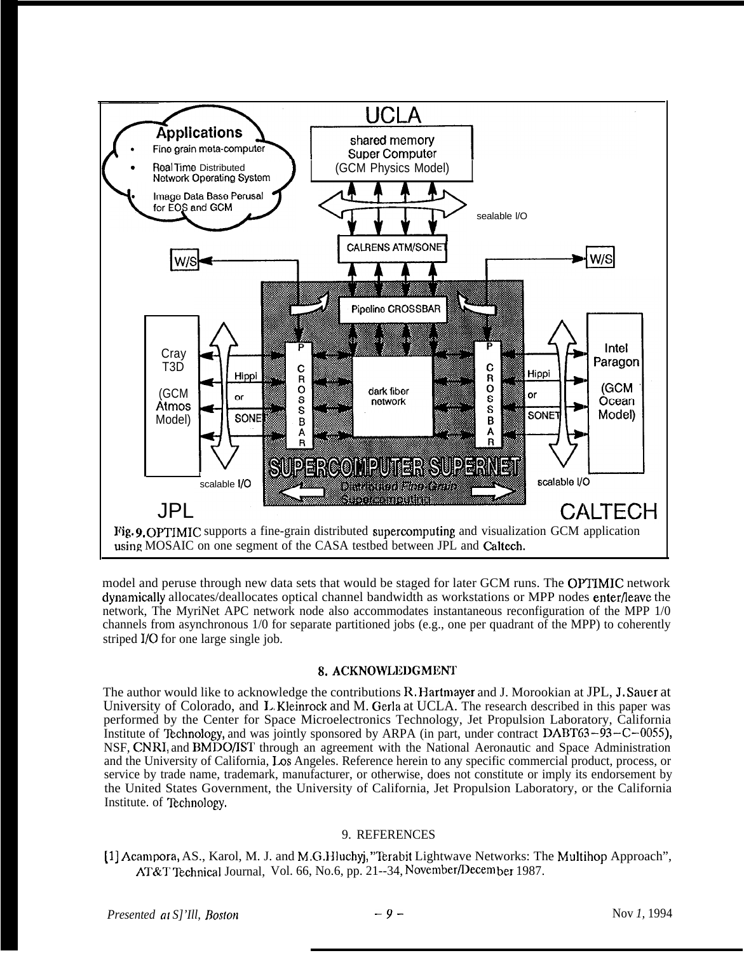

model and peruse through new data sets that would be staged for later GCM runs. The OPTIMIC network dynarniedly allocates/deallocates optical channel bandwidth as workstations or MPP nodes enterfleave the network, The MyriNet APC network node also accommodates instantaneous reconfiguration of the MPP 1/0 channels from asynchronous 1/0 for separate partitioned jobs (e.g., one per quadrant of the MPP) to coherently striped I/O for one large single job.

### 8. ACKNOWLEDGMENT

The author would like to acknowledge the contributions R. Hartmayer and J. Morookian at JPL, J, Sauer at University of Colorado, and L. Kleinrock and M. Gerla at UCLA. The research described in this paper was performed by the Center for Space Microelectronics Technology, Jet Propulsion Laboratory, California Institute of Technology, and was jointly sponsored by ARPA (in part, under contract  $DABT63 - 93 - C - 0055$ ), NSF, CNRI, and BMDO/IST through an agreement with the National Aeronautic and Space Administration and the University of California, Los Angeles. Reference herein to any specific commercial product, process, or service by trade name, trademark, manufacturer, or otherwise, does not constitute or imply its endorsement by the United States Government, the University of California, Jet Propulsion Laboratory, or the California Institute. of Technology.

### 9. REFERENCES

[1] Acampora, AS., Karol, M. J. and M.G.Hluchyj, "Terabit Lightwave Networks: The Multihop Approach", AT&T Technical Journal, Vol. 66, No.6, pp. 21--34, November/Decem ber 1987.